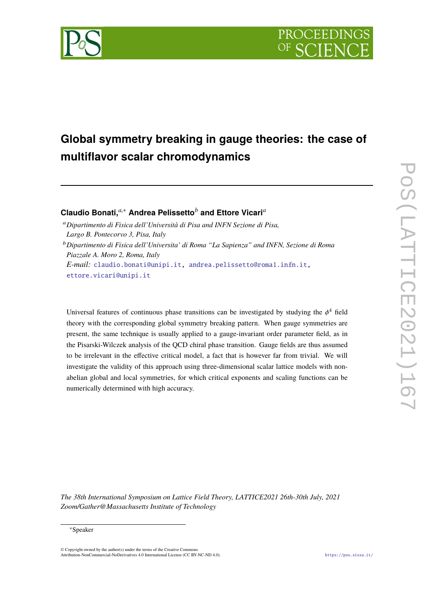

# **Global symmetry breaking in gauge theories: the case of multiflavor scalar chromodynamics**

**Claudio Bonati,***a*,<sup>∗</sup> **Andrea Pelissetto***<sup>b</sup>* **and Ettore Vicari***<sup>a</sup>*

<sup>a</sup>*Dipartimento di Fisica dell'Università di Pisa and INFN Sezione di Pisa, Largo B. Pontecorvo 3, Pisa, Italy*

<sup>b</sup>*Dipartimento di Fisica dell'Universita' di Roma "La Sapienza" and INFN, Sezione di Roma Piazzale A. Moro 2, Roma, Italy E-mail:* [claudio.bonati@unipi.it,](mailto:claudio.bonati@unipi.it) [andrea.pelissetto@roma1.infn.it,](mailto:andrea.pelissetto@roma1.infn.it)

[ettore.vicari@unipi.it](mailto:ettore.vicari@unipi.it)

Universal features of continuous phase transitions can be investigated by studying the  $\phi^4$  field theory with the corresponding global symmetry breaking pattern. When gauge symmetries are present, the same technique is usually applied to a gauge-invariant order parameter field, as in the Pisarski-Wilczek analysis of the QCD chiral phase transition. Gauge fields are thus assumed to be irrelevant in the effective critical model, a fact that is however far from trivial. We will investigate the validity of this approach using three-dimensional scalar lattice models with nonabelian global and local symmetries, for which critical exponents and scaling functions can be numerically determined with high accuracy.

*The 38th International Symposium on Lattice Field Theory, LATTICE2021 26th-30th July, 2021 Zoom/Gather@Massachusetts Institute of Technology*

#### <sup>∗</sup>Speaker

 $\odot$  Copyright owned by the author(s) under the terms of the Creative Common Attribution-NonCommercial-NoDerivatives 4.0 International License (CC BY-NC-ND 4.0). <https://pos.sissa.it/>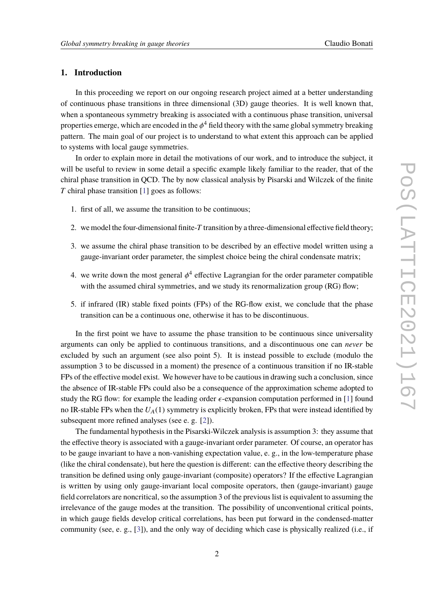# **1. Introduction**

In this proceeding we report on our ongoing research project aimed at a better understanding of continuous phase transitions in three dimensional (3D) gauge theories. It is well known that, when a spontaneous symmetry breaking is associated with a continuous phase transition, universal properties emerge, which are encoded in the  $\phi^4$  field theory with the same global symmetry breaking<br>nettern. The main goal of our project is to understand to what sytem this approach are be equiled pattern. The main goal of our project is to understand to what extent this approach can be applied to systems with local gauge symmetries.

In order to explain more in detail the motivations of our work, and to introduce the subject, it will be useful to review in some detail a specific example likely familiar to the reader, that of the chiral phase transition in QCD. The by now classical analysis by Pisarski and Wilczek of the finite *T* chiral phase transition [\[1\]](#page-6-0) goes as follows:

- 1. first of all, we assume the transition to be continuous;
- 2. we model the four-dimensional finite-*T* transition by a three-dimensional effective field theory;
- 3. we assume the chiral phase transition to be described by an effective model written using a gauge-invariant order parameter, the simplest choice being the chiral condensate matrix;
- 4. we write down the most general  $\phi^4$  effective Lagrangian for the order parameter compatible<br>with the essumed shirel summatries, and we study its generalization group (BC) flavy with the assumed chiral symmetries, and we study its renormalization group (RG) flow;
- 5. if infrared (IR) stable fixed points (FPs) of the RG-flow exist, we conclude that the phase transition can be a continuous one, otherwise it has to be discontinuous.

In the first point we have to assume the phase transition to be continuous since universality arguments can only be applied to continuous transitions, and a discontinuous one can *never* be excluded by such an argument (see also point 5). It is instead possible to exclude (modulo the assumption 3 to be discussed in a moment) the presence of a continuous transition if no IR-stable FPs of the effective model exist. We however have to be cautious in drawing such a conclusion, since the absence of IR-stable FPs could also be a consequence of the approximation scheme adopted to study the RG flow: for example the leading order  $\epsilon$ -expansion computation performed in [\[1\]](#page-6-0) found no IR-stable FPs when the  $U_A(1)$  symmetry is explicitly broken, FPs that were instead identified by subsequent more refined analyses (see e. g. [\[2\]](#page-6-1)).

The fundamental hypothesis in the Pisarski-Wilczek analysis is assumption 3: they assume that the effective theory is associated with a gauge-invariant order parameter. Of course, an operator has to be gauge invariant to have a non-vanishing expectation value, e. g., in the low-temperature phase (like the chiral condensate), but here the question is different: can the effective theory describing the transition be defined using only gauge-invariant (composite) operators? If the effective Lagrangian is written by using only gauge-invariant local composite operators, then (gauge-invariant) gauge field correlators are noncritical, so the assumption 3 of the previous list is equivalent to assuming the irrelevance of the gauge modes at the transition. The possibility of unconventional critical points, in which gauge fields develop critical correlations, has been put forward in the condensed-matter community (see, e. g., [\[3\]](#page-6-2)), and the only way of deciding which case is physically realized (i.e., if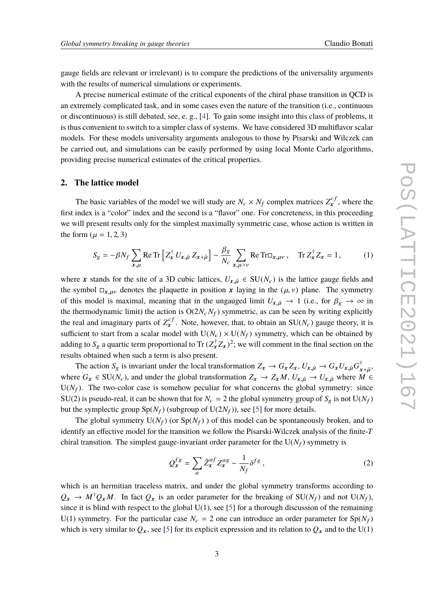gauge fields are relevant or irrelevant) is to compare the predictions of the universality arguments with the results of numerical simulations or experiments.

A precise numerical estimate of the critical exponents of the chiral phase transition in QCD is an extremely complicated task, and in some cases even the nature of the transition (i.e., continuous or discontinuous) is still debated, see, e. g., [\[4\]](#page-6-3). To gain some insight into this class of problems, it is thus convenient to switch to a simpler class of systems. We have considered 3D multiflavor scalar models. For these models universality arguments analogous to those by Pisarski and Wilczek can be carried out, and simulations can be easily performed by using local Monte Carlo algorithms, providing precise numerical estimates of the critical properties.

#### **2. The lattice model**

The basic variables of the model we will study are  $N_c \times N_f$  complex matrices  $Z^{cf}_{\mathbf{x}}$ , where the first index is a "color" index and the second is a "flavor" one. For concreteness, in this proceeding we will present results only for the simplest maximally symmetric case, whose action is written in the form ( $\mu = 1, 2, 3$ )

<span id="page-2-0"></span>
$$
S_g = -\beta N_f \sum_{x,\mu} \text{Re Tr} \left[ Z_x^{\dagger} U_{x,\hat{\mu}} Z_{x+\hat{\mu}} \right] - \frac{\beta_g}{N_c} \sum_{x,\mu > \nu} \text{Re Tr} \Box_{x,\mu \nu} , \quad \text{Tr } Z_x^{\dagger} Z_x = 1, \quad (1)
$$

where x stands for the site of a 3D cubic lattices,  $U_{x,\hat{\mu}} \in SU(N_c)$  is the lattice gauge fields and the symbol  $\Box_{x,\mu\nu}$  denotes the plaquette in position x laying in the  $(\mu, \nu)$  plane. The symmetry of this model is maximal, meaning that in the ungauged limit  $U_{x,\hat{\mu}} \to 1$  (i.e., for  $\beta_g \to \infty$  in the thermodynamic limit) the action is  $O(2N_cN_f)$  symmetric, as can be seen by writing explicitly the real and imaginary parts of  $Z_x^{cf}$ . Note, however, that, to obtain an  $SU(N_c)$  gauge theory, it is sufficient to start from a scalar model with  $U(N_c) \times U(N_f)$  symmetry, which can be obtained by adding to  $S_g$  a quartic term proportional to Tr ( $Z_x^\dagger Z_x$ )<sup>2</sup>; we will comment in the final section on the results obtained when such a term is also present.

The action  $S_g$  is invariant under the local transformation  $Z_x \to G_x Z_x$ ,  $U_{x,\hat{\mu}} \to G_x U_{x,\hat{\mu}} G_x^{\dagger}$ ⊺<br>x +  $\hat{\mu}$ '<br>M ∈ where  $G_x \in SU(N_c)$ , and under the global transformation  $Z_x \to Z_x M$ ,  $U_{x,\hat{\mu}} \to U_{x,\hat{\mu}}$  where  $M \in$  $U(N_f)$ . The two-color case is somehow peculiar for what concerns the global symmetry: since SU(2) is pseudo-real, it can be shown that for  $N_c = 2$  the global symmetry group of  $S_g$  is not U( $N_f$ ) but the symplectic group  $Sp(N_f)$  (subgroup of  $U(2N_f)$ ), see [\[5\]](#page-6-4) for more details.

The global symmetry  $U(N_f)$  (or  $Sp(N_f)$ ) of this model can be spontaneously broken, and to identify an effective model for the transition we follow the Pisarski-Wilczek analysis of the finite-*T* chiral transition. The simplest gauge-invariant order parameter for the  $U(N_f)$  symmetry is

<span id="page-2-1"></span>
$$
Q_x^{fg} = \sum_a \bar{Z}_x^{af} Z_x^{ag} - \frac{1}{N_f} \delta^{fg} , \qquad (2)
$$

which is an hermitian traceless matrix, and under the global symmetry transforms according to  $Q_x \rightarrow M^{\dagger}Q_x M$ . In fact  $Q_x$  is an order parameter for the breaking of SU( $N_f$ ) and not U( $N_f$ ), since it is blind with respect to the global  $U(1)$ , see [\[5\]](#page-6-4) for a thorough discussion of the remaining U(1) symmetry. For the particular case  $N_c = 2$  one can introduce an order parameter for  $Sp(N_f)$ which is very similar to  $Q_x$ , see [\[5\]](#page-6-4) for its explicit expression and its relation to  $Q_x$  and to the U(1)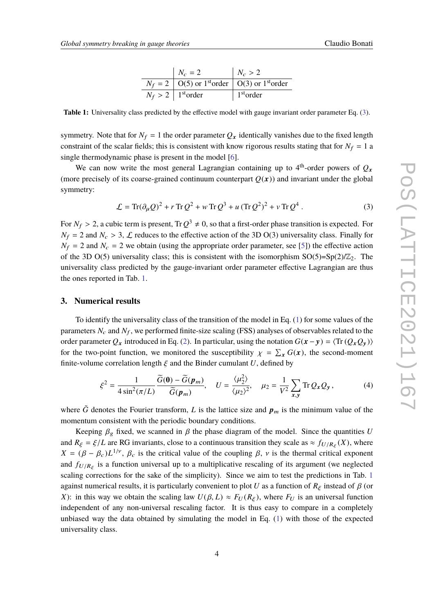| $N_c = 2$                                                                 | $N_c > 2$             |
|---------------------------------------------------------------------------|-----------------------|
| $N_f = 2$   O(5) or 1 <sup>st</sup> order   O(3) or 1 <sup>st</sup> order |                       |
| $N_f > 2$   1 <sup>st</sup> order                                         | 1 <sup>st</sup> order |

<span id="page-3-1"></span>**Table 1:** Universality class predicted by the effective model with gauge invariant order parameter Eq. [\(3\)](#page-3-0).

symmetry. Note that for  $N_f = 1$  the order parameter  $Q_x$  identically vanishes due to the fixed length constraint of the scalar fields; this is consistent with know rigorous results stating that for  $N_f = 1$  a single thermodynamic phase is present in the model [\[6\]](#page-6-5).

We can now write the most general Lagrangian containing up to  $4<sup>th</sup>$ -order powers of  $Q_x$ (more precisely of its coarse-grained continuum counterpart  $Q(x)$ ) and invariant under the global symmetry:

<span id="page-3-0"></span>
$$
\mathcal{L} = \text{Tr}(\partial_{\mu}Q)^{2} + r \,\text{Tr}\,Q^{2} + w \,\text{Tr}\,Q^{3} + u \,(\text{Tr}\,Q^{2})^{2} + v \,\text{Tr}\,Q^{4} \,. \tag{3}
$$

For  $N_f > 2$ , a cubic term is present,  $Tr Q^3 \neq 0$ , so that a first-order phase transition is expected. For  $N_f > 2$ , and  $N_f > 3$ , functions to the effective estimate fish 2D  $O(2)$  universality class. Finally for  $N_f = 2$  and  $N_c > 3$ ,  $\mathcal{L}$  reduces to the effective action of the 3D O(3) universality class. Finally for  $N_f = 2$  and  $N_c = 2$  we obtain (using the appropriate order parameter, see [\[5\]](#page-6-4)) the effective action of the 3D O(5) universality class; this is consistent with the isomorphism  $SO(5)=Sp(2)/\mathbb{Z}_2$ . The universality class predicted by the gauge-invariant order parameter effective Lagrangian are thus the ones reported in Tab. [1.](#page-3-1)

### **3. Numerical results**

To identify the universality class of the transition of the model in Eq. [\(1\)](#page-2-0) for some values of the parameters  $N_c$  and  $N_f$ , we performed finite-size scaling (FSS) analyses of observables related to the order parameter  $Q_x$  introduced in Eq. [\(2\)](#page-2-1). In particular, using the notation  $G(x - y) = \langle \text{Tr} (Q_x Q_y) \rangle$ for the two-point function, we monitored the susceptibility  $\chi = \sum_{\mathbf{x}} G(\mathbf{x})$ , the second-moment function length  $\zeta$  and the Bindag symplect *U* defined by finite-volume correlation length  $\xi$  and the Binder cumulant *U*, defined by

$$
\xi^2 = \frac{1}{4\sin^2(\pi/L)} \frac{\widetilde{G}(\mathbf{0}) - \widetilde{G}(\mathbf{p}_m)}{\widetilde{G}(\mathbf{p}_m)}, \quad U = \frac{\langle \mu_2^2 \rangle}{\langle \mu_2 \rangle^2}, \quad \mu_2 = \frac{1}{V^2} \sum_{\mathbf{x}, \mathbf{y}} \text{Tr} \, Q_{\mathbf{x}} Q_{\mathbf{y}}, \tag{4}
$$

where  $\tilde{G}$  denotes the Fourier transform, *L* is the lattice size and  $p_m$  is the minimum value of the momentum consistent with the periodic boundary conditions.

Keeping  $\beta_g$  fixed, we scanned in  $\beta$  the phase diagram of the model. Since the quantities *U* and  $R_{\xi} = \xi/L$  are RG invariants, close to a continuous transition they scale as  $\approx f_{U/R_{\xi}}(X)$ , where  $X = (\theta - \theta) L^{1/\nu}$ ,  $\theta$  is the exitient value of the coupling  $\theta$ , wis the thermal exitient are example.  $X = (\beta - \beta_c)L^{1/\nu}$ ,  $\beta_c$  is the critical value of the coupling  $\beta$ ,  $\nu$  is the thermal critical exponent and  $f_{U/R_{\xi}}$  is a function universal up to a multiplicative rescaling of its argument (we neglected scaling corrections for the sake of the simplicity). Since we aim to test the predictions in Tab. [1](#page-3-1) against numerical results, it is particularly convenient to plot *U* as a function of  $R_\xi$  instead of  $\beta$  (or *X*): in this way we obtain the scaling law  $U(\beta, L) \approx F_U(R_\xi)$ , where  $F_U$  is an universal function independent of any non-universal rescaling factor. It is thus easy to compare in a completely unbiased way the data obtained by simulating the model in Eq. [\(1\)](#page-2-0) with those of the expected universality class.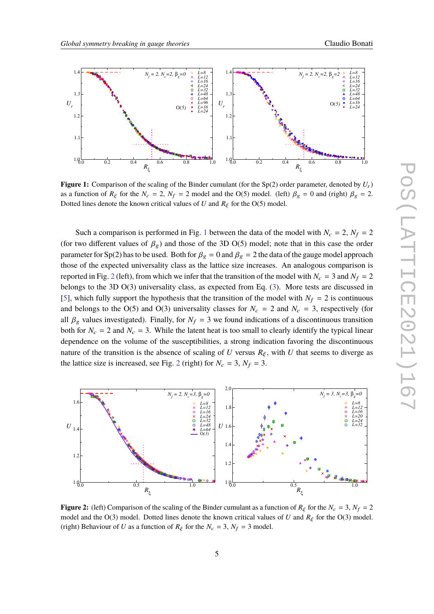<span id="page-4-0"></span>

**Figure 1:** Comparison of the scaling of the Binder cumulant (for the Sp(2) order parameter, denoted by  $U_r$ ) as a function of  $R_\xi$  for the  $N_c = 2$ ,  $N_f = 2$  model and the O(5) model. (left)  $\beta_g = 0$  and (right)  $\beta_g = 2$ . Dotted lines denote the known critical values of *U* and  $R_{\xi}$  for the O(5) model.

Such a comparison is performed in Fig. [1](#page-4-0) between the data of the model with  $N_c = 2$ ,  $N_f = 2$ (for two different values of  $\beta_g$ ) and those of the 3D O(5) model; note that in this case the order parameter for Sp(2) has to be used. Both for  $\beta_g = 0$  and  $\beta_g = 2$  the data of the gauge model approach those of the expected universality class as the lattice size increases. An analogous comparison is reported in Fig. [2](#page-4-1) (left), from which we infer that the transition of the model with  $N_c = 3$  and  $N_f = 2$ belongs to the 3D O(3) universality class, as expected from Eq. [\(3\)](#page-3-0). More tests are discussed in [\[5\]](#page-6-4), which fully support the hypothesis that the transition of the model with  $N_f = 2$  is continuous and belongs to the O(5) and O(3) universality classes for  $N_c = 2$  and  $N_c = 3$ , respectively (for all  $\beta_g$  values investigated). Finally, for  $N_f = 3$  we found indications of a discontinuous transition both for  $N_c = 2$  and  $N_c = 3$ . While the latent heat is too small to clearly identify the typical linear dependence on the volume of the susceptibilities, a strong indication favoring the discontinuous nature of the transition is the absence of scaling of *U* versus  $R_{\xi}$ , with *U* that seems to diverge as the lattice size is increased, see Fig. [2](#page-4-1) (right) for  $N_c = 3$ ,  $N_f = 3$ .

<span id="page-4-1"></span>

**Figure 2:** (left) Comparison of the scaling of the Binder cumulant as a function of  $R_\xi$  for the  $N_c = 3$ ,  $N_f = 2$ model and the O(3) model. Dotted lines denote the known critical values of *U* and  $R_{\xi}$  for the O(3) model. (right) Behaviour of *U* as a function of  $R_\xi$  for the  $N_c = 3$ ,  $N_f = 3$  model.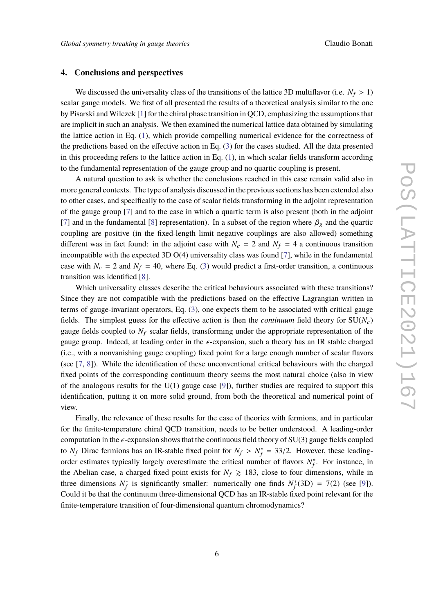#### **4. Conclusions and perspectives**

We discussed the universality class of the transitions of the lattice 3D multiflavor (i.e.  $N_f > 1$ ) scalar gauge models. We first of all presented the results of a theoretical analysis similar to the one by Pisarski and Wilczek [\[1\]](#page-6-0) for the chiral phase transition in QCD, emphasizing the assumptions that are implicit in such an analysis. We then examined the numerical lattice data obtained by simulating the lattice action in Eq. [\(1\)](#page-2-0), which provide compelling numerical evidence for the correctness of the predictions based on the effective action in Eq. [\(3\)](#page-3-0) for the cases studied. All the data presented in this proceeding refers to the lattice action in Eq.  $(1)$ , in which scalar fields transform according to the fundamental representation of the gauge group and no quartic coupling is present.

A natural question to ask is whether the conclusions reached in this case remain valid also in more general contexts. The type of analysis discussed in the previous sections has been extended also to other cases, and specifically to the case of scalar fields transforming in the adjoint representation of the gauge group [\[7\]](#page-6-6) and to the case in which a quartic term is also present (both in the adjoint [\[7\]](#page-6-6) and in the fundamental [\[8\]](#page-6-7) representation). In a subset of the region where  $\beta_g$  and the quartic coupling are positive (in the fixed-length limit negative couplings are also allowed) something different was in fact found: in the adjoint case with  $N_c = 2$  and  $N_f = 4$  a continuous transition incompatible with the expected 3D O(4) universality class was found [\[7\]](#page-6-6), while in the fundamental case with  $N_c = 2$  and  $N_f = 40$ , where Eq. [\(3\)](#page-3-0) would predict a first-order transition, a continuous transition was identified [\[8\]](#page-6-7).

Which universality classes describe the critical behaviours associated with these transitions? Since they are not compatible with the predictions based on the effective Lagrangian written in terms of gauge-invariant operators, Eq. [\(3\)](#page-3-0), one expects them to be associated with critical gauge fields. The simplest guess for the effective action is then the *continuum* field theory for  $SU(N_c)$ gauge fields coupled to  $N_f$  scalar fields, transforming under the appropriate representation of the gauge group. Indeed, at leading order in the  $\epsilon$ -expansion, such a theory has an IR stable charged (i.e., with a nonvanishing gauge coupling) fixed point for a large enough number of scalar flavors (see [\[7,](#page-6-6) [8\]](#page-6-7)). While the identification of these unconventional critical behaviours with the charged fixed points of the corresponding continuum theory seems the most natural choice (also in view of the analogous results for the  $U(1)$  gauge case [\[9\]](#page-6-8)), further studies are required to support this identification, putting it on more solid ground, from both the theoretical and numerical point of view.

Finally, the relevance of these results for the case of theories with fermions, and in particular for the finite-temperature chiral QCD transition, needs to be better understood. A leading-order computation in the  $\epsilon$ -expansion shows that the continuous field theory of SU(3) gauge fields coupled to *N<sub>f</sub>* Dirac fermions has an IR-stable fixed point for  $N_f > N_f^*$ <br>carbon estimates turisolly largely expressimate the exitied number  $f_f^* = 33/2$ . However, these leadingorder estimates typically largely overestimate the critical number of flavors  $N_f^*$  $j_f^*$ . For instance, in the Abelian case, a charged fixed point exists for  $N_f \ge 183$ , close to four dimensions, while in three dimensions  $N_f^*$ <sup>\*</sup>/<sub>f</sub> is significantly smaller: numerically one finds  $N_f^*$  $f_f^*(3D) = 7(2)$  (see [\[9\]](#page-6-8)). Could it be that the continuum three-dimensional QCD has an IR-stable fixed point relevant for the finite-temperature transition of four-dimensional quantum chromodynamics?